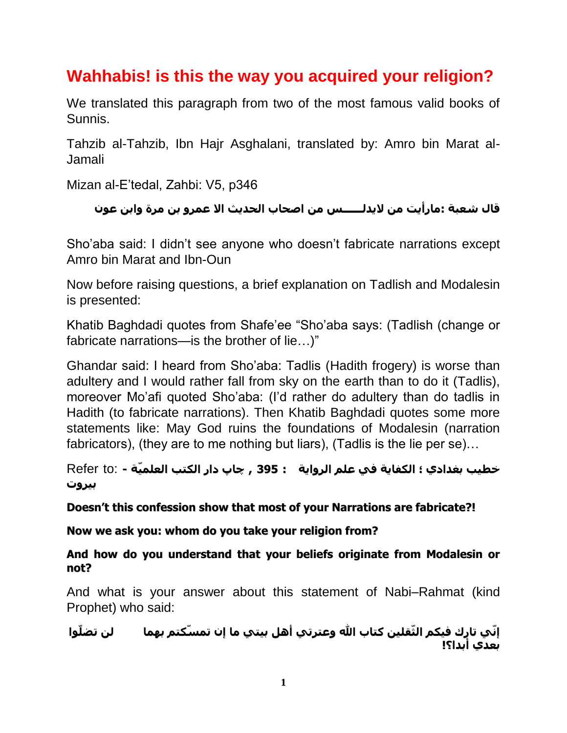## **Wahhabis! is this the way you acquired your religion?**

We translated this paragraph from two of the most famous valid books of Sunnis.

Tahzib al-Tahzib, Ibn Hajr Asghalani, translated by: Amro bin Marat al-Jamali

Mizan al-E'tedal, Zahbi: V5, p346

## **قال شعثح :يارأيد يٍ اليدنــــــس يٍ اصذاب انذديس اال عًرٔ تٍ يرج ٔاتٍ عٌٕ**

Sho'aba said: I didn't see anyone who doesn't fabricate narrations except Amro bin Marat and Ibn-Oun

Now before raising questions, a brief explanation on Tadlish and Modalesin is presented:

Khatib Baghdadi quotes from Shafe'ee "Sho'aba says: (Tadlish (change or fabricate narrations—is the brother of lie...)"

Ghandar said: I heard from Sho'aba: Tadlis (Hadith frogery) is worse than adultery and I would rather fall from sky on the earth than to do it (Tadlis), moreover Mo'afi quoted Sho'aba: (I'd rather do adultery than do tadlis in Hadith (to fabricate narrations). Then Khatib Baghdadi quotes some more statements like: May God ruins the foundations of Modalesin (narration fabricators), (they are to me nothing but liars), (Tadlis is the lie per se)…

**خطية تغدادي ؛ انكفايح في عهى انرٔايح : 395 , چاپ دار انكرة انعهًيّح -** :to Refer **تيروت** 

**Doesn't this confession show that most of your Narrations are fabricate?!**

**Now we ask you: whom do you take your religion from?**

**And how do you understand that your beliefs originate from Modalesin or not?**

And what is your answer about this statement of Nabi–Rahmat (kind Prophet) who said:

## **إَّي ذارك فيكى انثّقهيٍ كراب اهلل ٔعررذي أْم تيري يا إٌ ذًسّكرى تًٓا نٍ ذضهّٕا تعدي أتدا؟!**